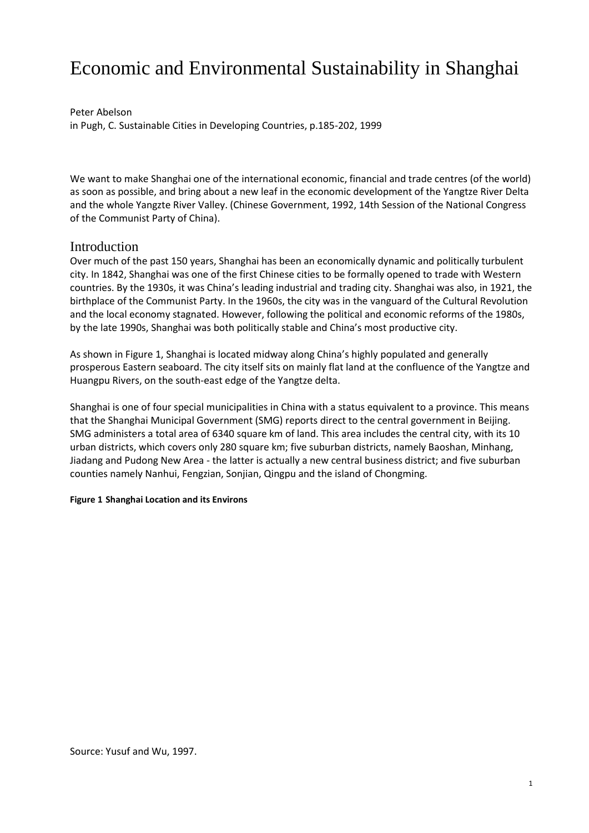# Economic and Environmental Sustainability in Shanghai

Peter Abelson in Pugh, C. Sustainable Cities in Developing Countries, p.185-202, 1999

We want to make Shanghai one of the international economic, financial and trade centres (of the world) as soon as possible, and bring about a new leaf in the economic development of the Yangtze River Delta and the whole Yangzte River Valley. (Chinese Government, 1992, 14th Session of the National Congress of the Communist Party of China).

### Introduction

Over much of the past 150 years, Shanghai has been an economically dynamic and politically turbulent city. In 1842, Shanghai was one of the first Chinese cities to be formally opened to trade with Western countries. By the 1930s, it was China's leading industrial and trading city. Shanghai was also, in 1921, the birthplace of the Communist Party. In the 1960s, the city was in the vanguard of the Cultural Revolution and the local economy stagnated. However, following the political and economic reforms of the 1980s, by the late 1990s, Shanghai was both politically stable and China's most productive city.

As shown in Figure 1, Shanghai is located midway along China's highly populated and generally prosperous Eastern seaboard. The city itself sits on mainly flat land at the confluence of the Yangtze and Huangpu Rivers, on the south-east edge of the Yangtze delta.

Shanghai is one of four special municipalities in China with a status equivalent to a province. This means that the Shanghai Municipal Government (SMG) reports direct to the central government in Beijing. SMG administers a total area of 6340 square km of land. This area includes the central city, with its 10 urban districts, which covers only 280 square km; five suburban districts, namely Baoshan, Minhang, Jiadang and Pudong New Area - the latter is actually a new central business district; and five suburban counties namely Nanhui, Fengzian, Sonjian, Qingpu and the island of Chongming.

#### **Figure 1 Shanghai Location and its Environs**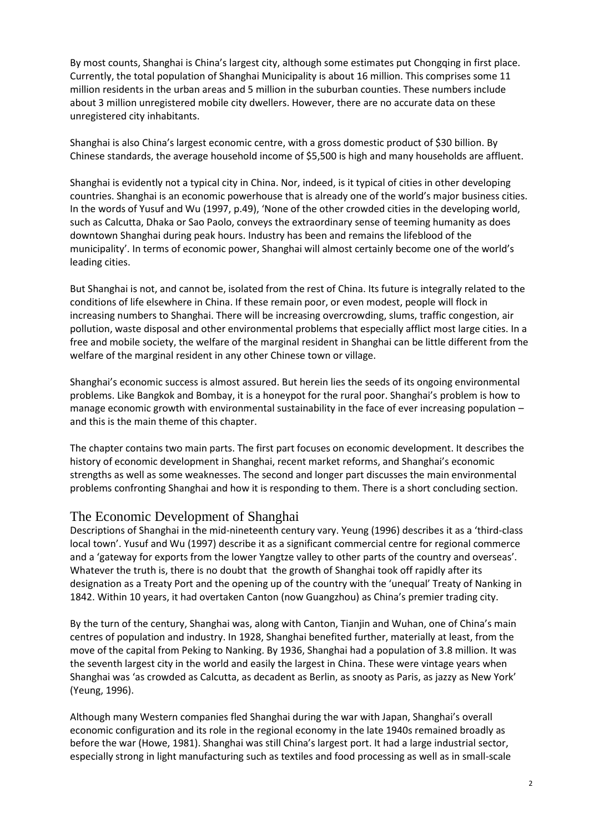By most counts, Shanghai is China's largest city, although some estimates put Chongqing in first place. Currently, the total population of Shanghai Municipality is about 16 million. This comprises some 11 million residents in the urban areas and 5 million in the suburban counties. These numbers include about 3 million unregistered mobile city dwellers. However, there are no accurate data on these unregistered city inhabitants.

Shanghai is also China's largest economic centre, with a gross domestic product of \$30 billion. By Chinese standards, the average household income of \$5,500 is high and many households are affluent.

Shanghai is evidently not a typical city in China. Nor, indeed, is it typical of cities in other developing countries. Shanghai is an economic powerhouse that is already one of the world's major business cities. In the words of Yusuf and Wu (1997, p.49), 'None of the other crowded cities in the developing world, such as Calcutta, Dhaka or Sao Paolo, conveys the extraordinary sense of teeming humanity as does downtown Shanghai during peak hours. Industry has been and remains the lifeblood of the municipality'. In terms of economic power, Shanghai will almost certainly become one of the world's leading cities.

But Shanghai is not, and cannot be, isolated from the rest of China. Its future is integrally related to the conditions of life elsewhere in China. If these remain poor, or even modest, people will flock in increasing numbers to Shanghai. There will be increasing overcrowding, slums, traffic congestion, air pollution, waste disposal and other environmental problems that especially afflict most large cities. In a free and mobile society, the welfare of the marginal resident in Shanghai can be little different from the welfare of the marginal resident in any other Chinese town or village.

Shanghai's economic success is almost assured. But herein lies the seeds of its ongoing environmental problems. Like Bangkok and Bombay, it is a honeypot for the rural poor. Shanghai's problem is how to manage economic growth with environmental sustainability in the face of ever increasing population and this is the main theme of this chapter.

The chapter contains two main parts. The first part focuses on economic development. It describes the history of economic development in Shanghai, recent market reforms, and Shanghai's economic strengths as well as some weaknesses. The second and longer part discusses the main environmental problems confronting Shanghai and how it is responding to them. There is a short concluding section.

# The Economic Development of Shanghai

Descriptions of Shanghai in the mid-nineteenth century vary. Yeung (1996) describes it as a 'third-class local town'. Yusuf and Wu (1997) describe it as a significant commercial centre for regional commerce and a 'gateway for exports from the lower Yangtze valley to other parts of the country and overseas'. Whatever the truth is, there is no doubt that the growth of Shanghai took off rapidly after its designation as a Treaty Port and the opening up of the country with the 'unequal' Treaty of Nanking in 1842. Within 10 years, it had overtaken Canton (now Guangzhou) as China's premier trading city.

By the turn of the century, Shanghai was, along with Canton, Tianjin and Wuhan, one of China's main centres of population and industry. In 1928, Shanghai benefited further, materially at least, from the move of the capital from Peking to Nanking. By 1936, Shanghai had a population of 3.8 million. It was the seventh largest city in the world and easily the largest in China. These were vintage years when Shanghai was 'as crowded as Calcutta, as decadent as Berlin, as snooty as Paris, as jazzy as New York' (Yeung, 1996).

Although many Western companies fled Shanghai during the war with Japan, Shanghai's overall economic configuration and its role in the regional economy in the late 1940s remained broadly as before the war (Howe, 1981). Shanghai was still China's largest port. It had a large industrial sector, especially strong in light manufacturing such as textiles and food processing as well as in small-scale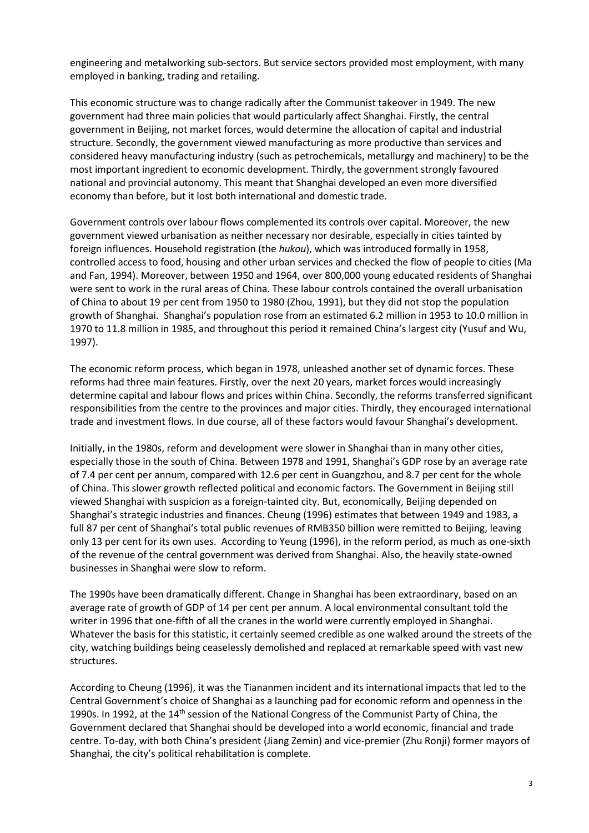engineering and metalworking sub-sectors. But service sectors provided most employment, with many employed in banking, trading and retailing.

This economic structure was to change radically after the Communist takeover in 1949. The new government had three main policies that would particularly affect Shanghai. Firstly, the central government in Beijing, not market forces, would determine the allocation of capital and industrial structure. Secondly, the government viewed manufacturing as more productive than services and considered heavy manufacturing industry (such as petrochemicals, metallurgy and machinery) to be the most important ingredient to economic development. Thirdly, the government strongly favoured national and provincial autonomy. This meant that Shanghai developed an even more diversified economy than before, but it lost both international and domestic trade.

Government controls over labour flows complemented its controls over capital. Moreover, the new government viewed urbanisation as neither necessary nor desirable, especially in cities tainted by foreign influences. Household registration (the *hukou*), which was introduced formally in 1958, controlled access to food, housing and other urban services and checked the flow of people to cities (Ma and Fan, 1994). Moreover, between 1950 and 1964, over 800,000 young educated residents of Shanghai were sent to work in the rural areas of China. These labour controls contained the overall urbanisation of China to about 19 per cent from 1950 to 1980 (Zhou, 1991), but they did not stop the population growth of Shanghai. Shanghai's population rose from an estimated 6.2 million in 1953 to 10.0 million in 1970 to 11.8 million in 1985, and throughout this period it remained China's largest city (Yusuf and Wu, 1997).

The economic reform process, which began in 1978, unleashed another set of dynamic forces. These reforms had three main features. Firstly, over the next 20 years, market forces would increasingly determine capital and labour flows and prices within China. Secondly, the reforms transferred significant responsibilities from the centre to the provinces and major cities. Thirdly, they encouraged international trade and investment flows. In due course, all of these factors would favour Shanghai's development.

Initially, in the 1980s, reform and development were slower in Shanghai than in many other cities, especially those in the south of China. Between 1978 and 1991, Shanghai's GDP rose by an average rate of 7.4 per cent per annum, compared with 12.6 per cent in Guangzhou, and 8.7 per cent for the whole of China. This slower growth reflected political and economic factors. The Government in Beijing still viewed Shanghai with suspicion as a foreign-tainted city. But, economically, Beijing depended on Shanghai's strategic industries and finances. Cheung (1996) estimates that between 1949 and 1983, a full 87 per cent of Shanghai's total public revenues of RMB350 billion were remitted to Beijing, leaving only 13 per cent for its own uses. According to Yeung (1996), in the reform period, as much as one-sixth of the revenue of the central government was derived from Shanghai. Also, the heavily state-owned businesses in Shanghai were slow to reform.

The 1990s have been dramatically different. Change in Shanghai has been extraordinary, based on an average rate of growth of GDP of 14 per cent per annum. A local environmental consultant told the writer in 1996 that one-fifth of all the cranes in the world were currently employed in Shanghai. Whatever the basis for this statistic, it certainly seemed credible as one walked around the streets of the city, watching buildings being ceaselessly demolished and replaced at remarkable speed with vast new structures.

According to Cheung (1996), it was the Tiananmen incident and its international impacts that led to the Central Government's choice of Shanghai as a launching pad for economic reform and openness in the 1990s. In 1992, at the 14<sup>th</sup> session of the National Congress of the Communist Party of China, the Government declared that Shanghai should be developed into a world economic, financial and trade centre. To-day, with both China's president (Jiang Zemin) and vice-premier (Zhu Ronji) former mayors of Shanghai, the city's political rehabilitation is complete.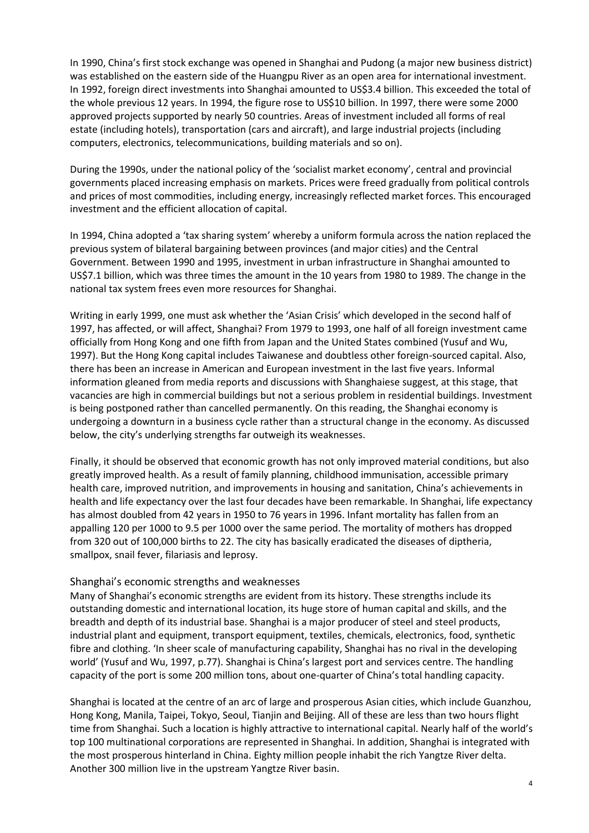In 1990, China's first stock exchange was opened in Shanghai and Pudong (a major new business district) was established on the eastern side of the Huangpu River as an open area for international investment. In 1992, foreign direct investments into Shanghai amounted to US\$3.4 billion. This exceeded the total of the whole previous 12 years. In 1994, the figure rose to US\$10 billion. In 1997, there were some 2000 approved projects supported by nearly 50 countries. Areas of investment included all forms of real estate (including hotels), transportation (cars and aircraft), and large industrial projects (including computers, electronics, telecommunications, building materials and so on).

During the 1990s, under the national policy of the 'socialist market economy', central and provincial governments placed increasing emphasis on markets. Prices were freed gradually from political controls and prices of most commodities, including energy, increasingly reflected market forces. This encouraged investment and the efficient allocation of capital.

In 1994, China adopted a 'tax sharing system' whereby a uniform formula across the nation replaced the previous system of bilateral bargaining between provinces (and major cities) and the Central Government. Between 1990 and 1995, investment in urban infrastructure in Shanghai amounted to US\$7.1 billion, which was three times the amount in the 10 years from 1980 to 1989. The change in the national tax system frees even more resources for Shanghai.

Writing in early 1999, one must ask whether the 'Asian Crisis' which developed in the second half of 1997, has affected, or will affect, Shanghai? From 1979 to 1993, one half of all foreign investment came officially from Hong Kong and one fifth from Japan and the United States combined (Yusuf and Wu, 1997). But the Hong Kong capital includes Taiwanese and doubtless other foreign-sourced capital. Also, there has been an increase in American and European investment in the last five years. Informal information gleaned from media reports and discussions with Shanghaiese suggest, at this stage, that vacancies are high in commercial buildings but not a serious problem in residential buildings. Investment is being postponed rather than cancelled permanently. On this reading, the Shanghai economy is undergoing a downturn in a business cycle rather than a structural change in the economy. As discussed below, the city's underlying strengths far outweigh its weaknesses.

Finally, it should be observed that economic growth has not only improved material conditions, but also greatly improved health. As a result of family planning, childhood immunisation, accessible primary health care, improved nutrition, and improvements in housing and sanitation, China's achievements in health and life expectancy over the last four decades have been remarkable. In Shanghai, life expectancy has almost doubled from 42 years in 1950 to 76 years in 1996. Infant mortality has fallen from an appalling 120 per 1000 to 9.5 per 1000 over the same period. The mortality of mothers has dropped from 320 out of 100,000 births to 22. The city has basically eradicated the diseases of diptheria, smallpox, snail fever, filariasis and leprosy.

#### Shanghai's economic strengths and weaknesses

Many of Shanghai's economic strengths are evident from its history. These strengths include its outstanding domestic and international location, its huge store of human capital and skills, and the breadth and depth of its industrial base. Shanghai is a major producer of steel and steel products, industrial plant and equipment, transport equipment, textiles, chemicals, electronics, food, synthetic fibre and clothing. 'In sheer scale of manufacturing capability, Shanghai has no rival in the developing world' (Yusuf and Wu, 1997, p.77). Shanghai is China's largest port and services centre. The handling capacity of the port is some 200 million tons, about one-quarter of China's total handling capacity.

Shanghai is located at the centre of an arc of large and prosperous Asian cities, which include Guanzhou, Hong Kong, Manila, Taipei, Tokyo, Seoul, Tianjin and Beijing. All of these are less than two hours flight time from Shanghai. Such a location is highly attractive to international capital. Nearly half of the world's top 100 multinational corporations are represented in Shanghai. In addition, Shanghai is integrated with the most prosperous hinterland in China. Eighty million people inhabit the rich Yangtze River delta. Another 300 million live in the upstream Yangtze River basin.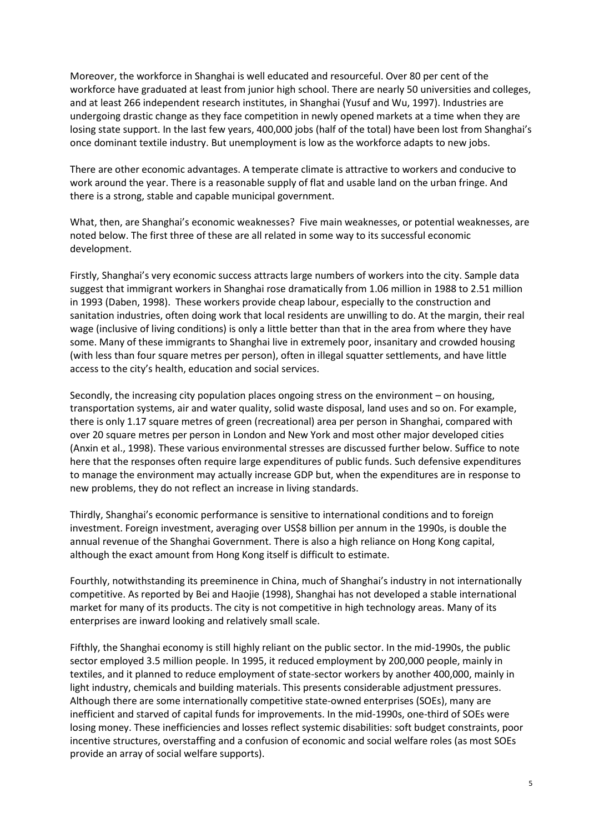Moreover, the workforce in Shanghai is well educated and resourceful. Over 80 per cent of the workforce have graduated at least from junior high school. There are nearly 50 universities and colleges, and at least 266 independent research institutes, in Shanghai (Yusuf and Wu, 1997). Industries are undergoing drastic change as they face competition in newly opened markets at a time when they are losing state support. In the last few years, 400,000 jobs (half of the total) have been lost from Shanghai's once dominant textile industry. But unemployment is low as the workforce adapts to new jobs.

There are other economic advantages. A temperate climate is attractive to workers and conducive to work around the year. There is a reasonable supply of flat and usable land on the urban fringe. And there is a strong, stable and capable municipal government.

What, then, are Shanghai's economic weaknesses? Five main weaknesses, or potential weaknesses, are noted below. The first three of these are all related in some way to its successful economic development.

Firstly, Shanghai's very economic success attracts large numbers of workers into the city. Sample data suggest that immigrant workers in Shanghai rose dramatically from 1.06 million in 1988 to 2.51 million in 1993 (Daben, 1998). These workers provide cheap labour, especially to the construction and sanitation industries, often doing work that local residents are unwilling to do. At the margin, their real wage (inclusive of living conditions) is only a little better than that in the area from where they have some. Many of these immigrants to Shanghai live in extremely poor, insanitary and crowded housing (with less than four square metres per person), often in illegal squatter settlements, and have little access to the city's health, education and social services.

Secondly, the increasing city population places ongoing stress on the environment – on housing, transportation systems, air and water quality, solid waste disposal, land uses and so on. For example, there is only 1.17 square metres of green (recreational) area per person in Shanghai, compared with over 20 square metres per person in London and New York and most other major developed cities (Anxin et al., 1998). These various environmental stresses are discussed further below. Suffice to note here that the responses often require large expenditures of public funds. Such defensive expenditures to manage the environment may actually increase GDP but, when the expenditures are in response to new problems, they do not reflect an increase in living standards.

Thirdly, Shanghai's economic performance is sensitive to international conditions and to foreign investment. Foreign investment, averaging over US\$8 billion per annum in the 1990s, is double the annual revenue of the Shanghai Government. There is also a high reliance on Hong Kong capital, although the exact amount from Hong Kong itself is difficult to estimate.

Fourthly, notwithstanding its preeminence in China, much of Shanghai's industry in not internationally competitive. As reported by Bei and Haojie (1998), Shanghai has not developed a stable international market for many of its products. The city is not competitive in high technology areas. Many of its enterprises are inward looking and relatively small scale.

Fifthly, the Shanghai economy is still highly reliant on the public sector. In the mid-1990s, the public sector employed 3.5 million people. In 1995, it reduced employment by 200,000 people, mainly in textiles, and it planned to reduce employment of state-sector workers by another 400,000, mainly in light industry, chemicals and building materials. This presents considerable adjustment pressures. Although there are some internationally competitive state-owned enterprises (SOEs), many are inefficient and starved of capital funds for improvements. In the mid-1990s, one-third of SOEs were losing money. These inefficiencies and losses reflect systemic disabilities: soft budget constraints, poor incentive structures, overstaffing and a confusion of economic and social welfare roles (as most SOEs provide an array of social welfare supports).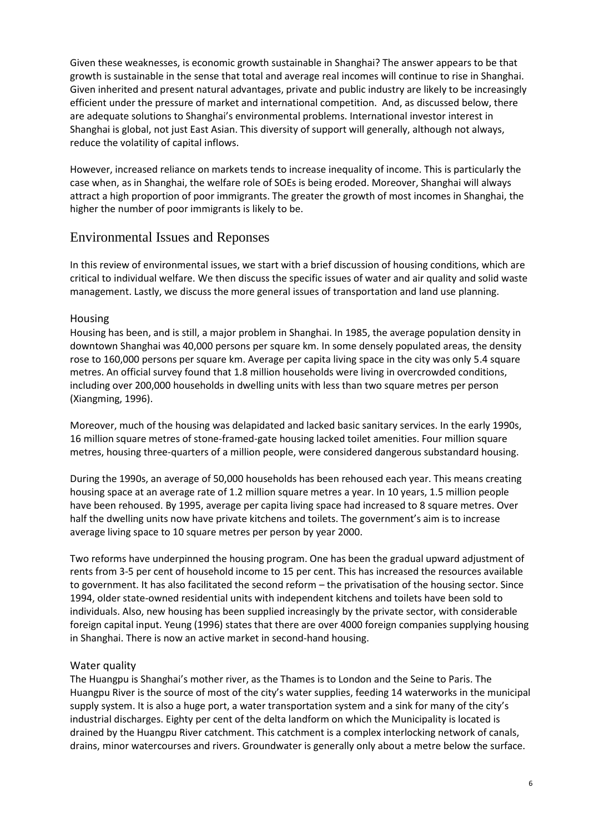Given these weaknesses, is economic growth sustainable in Shanghai? The answer appears to be that growth is sustainable in the sense that total and average real incomes will continue to rise in Shanghai. Given inherited and present natural advantages, private and public industry are likely to be increasingly efficient under the pressure of market and international competition. And, as discussed below, there are adequate solutions to Shanghai's environmental problems. International investor interest in Shanghai is global, not just East Asian. This diversity of support will generally, although not always, reduce the volatility of capital inflows.

However, increased reliance on markets tends to increase inequality of income. This is particularly the case when, as in Shanghai, the welfare role of SOEs is being eroded. Moreover, Shanghai will always attract a high proportion of poor immigrants. The greater the growth of most incomes in Shanghai, the higher the number of poor immigrants is likely to be.

# Environmental Issues and Reponses

In this review of environmental issues, we start with a brief discussion of housing conditions, which are critical to individual welfare. We then discuss the specific issues of water and air quality and solid waste management. Lastly, we discuss the more general issues of transportation and land use planning.

#### Housing

Housing has been, and is still, a major problem in Shanghai. In 1985, the average population density in downtown Shanghai was 40,000 persons per square km. In some densely populated areas, the density rose to 160,000 persons per square km. Average per capita living space in the city was only 5.4 square metres. An official survey found that 1.8 million households were living in overcrowded conditions, including over 200,000 households in dwelling units with less than two square metres per person (Xiangming, 1996).

Moreover, much of the housing was delapidated and lacked basic sanitary services. In the early 1990s, 16 million square metres of stone-framed-gate housing lacked toilet amenities. Four million square metres, housing three-quarters of a million people, were considered dangerous substandard housing.

During the 1990s, an average of 50,000 households has been rehoused each year. This means creating housing space at an average rate of 1.2 million square metres a year. In 10 years, 1.5 million people have been rehoused. By 1995, average per capita living space had increased to 8 square metres. Over half the dwelling units now have private kitchens and toilets. The government's aim is to increase average living space to 10 square metres per person by year 2000.

Two reforms have underpinned the housing program. One has been the gradual upward adjustment of rents from 3-5 per cent of household income to 15 per cent. This has increased the resources available to government. It has also facilitated the second reform – the privatisation of the housing sector. Since 1994, older state-owned residential units with independent kitchens and toilets have been sold to individuals. Also, new housing has been supplied increasingly by the private sector, with considerable foreign capital input. Yeung (1996) states that there are over 4000 foreign companies supplying housing in Shanghai. There is now an active market in second-hand housing.

#### Water quality

The Huangpu is Shanghai's mother river, as the Thames is to London and the Seine to Paris. The Huangpu River is the source of most of the city's water supplies, feeding 14 waterworks in the municipal supply system. It is also a huge port, a water transportation system and a sink for many of the city's industrial discharges. Eighty per cent of the delta landform on which the Municipality is located is drained by the Huangpu River catchment. This catchment is a complex interlocking network of canals, drains, minor watercourses and rivers. Groundwater is generally only about a metre below the surface.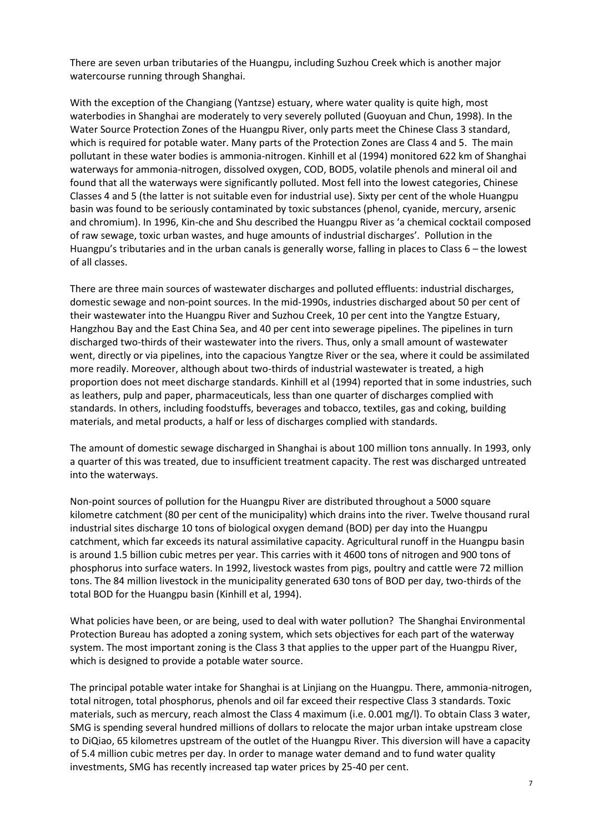There are seven urban tributaries of the Huangpu, including Suzhou Creek which is another major watercourse running through Shanghai.

With the exception of the Changiang (Yantzse) estuary, where water quality is quite high, most waterbodies in Shanghai are moderately to very severely polluted (Guoyuan and Chun, 1998). In the Water Source Protection Zones of the Huangpu River, only parts meet the Chinese Class 3 standard, which is required for potable water. Many parts of the Protection Zones are Class 4 and 5. The main pollutant in these water bodies is ammonia-nitrogen. Kinhill et al (1994) monitored 622 km of Shanghai waterways for ammonia-nitrogen, dissolved oxygen, COD, BOD5, volatile phenols and mineral oil and found that all the waterways were significantly polluted. Most fell into the lowest categories, Chinese Classes 4 and 5 (the latter is not suitable even for industrial use). Sixty per cent of the whole Huangpu basin was found to be seriously contaminated by toxic substances (phenol, cyanide, mercury, arsenic and chromium). In 1996, Kin-che and Shu described the Huangpu River as 'a chemical cocktail composed of raw sewage, toxic urban wastes, and huge amounts of industrial discharges'. Pollution in the Huangpu's tributaries and in the urban canals is generally worse, falling in places to Class 6 – the lowest of all classes.

There are three main sources of wastewater discharges and polluted effluents: industrial discharges, domestic sewage and non-point sources. In the mid-1990s, industries discharged about 50 per cent of their wastewater into the Huangpu River and Suzhou Creek, 10 per cent into the Yangtze Estuary, Hangzhou Bay and the East China Sea, and 40 per cent into sewerage pipelines. The pipelines in turn discharged two-thirds of their wastewater into the rivers. Thus, only a small amount of wastewater went, directly or via pipelines, into the capacious Yangtze River or the sea, where it could be assimilated more readily. Moreover, although about two-thirds of industrial wastewater is treated, a high proportion does not meet discharge standards. Kinhill et al (1994) reported that in some industries, such as leathers, pulp and paper, pharmaceuticals, less than one quarter of discharges complied with standards. In others, including foodstuffs, beverages and tobacco, textiles, gas and coking, building materials, and metal products, a half or less of discharges complied with standards.

The amount of domestic sewage discharged in Shanghai is about 100 million tons annually. In 1993, only a quarter of this was treated, due to insufficient treatment capacity. The rest was discharged untreated into the waterways.

Non-point sources of pollution for the Huangpu River are distributed throughout a 5000 square kilometre catchment (80 per cent of the municipality) which drains into the river. Twelve thousand rural industrial sites discharge 10 tons of biological oxygen demand (BOD) per day into the Huangpu catchment, which far exceeds its natural assimilative capacity. Agricultural runoff in the Huangpu basin is around 1.5 billion cubic metres per year. This carries with it 4600 tons of nitrogen and 900 tons of phosphorus into surface waters. In 1992, livestock wastes from pigs, poultry and cattle were 72 million tons. The 84 million livestock in the municipality generated 630 tons of BOD per day, two-thirds of the total BOD for the Huangpu basin (Kinhill et al, 1994).

What policies have been, or are being, used to deal with water pollution? The Shanghai Environmental Protection Bureau has adopted a zoning system, which sets objectives for each part of the waterway system. The most important zoning is the Class 3 that applies to the upper part of the Huangpu River, which is designed to provide a potable water source.

The principal potable water intake for Shanghai is at Linjiang on the Huangpu. There, ammonia-nitrogen, total nitrogen, total phosphorus, phenols and oil far exceed their respective Class 3 standards. Toxic materials, such as mercury, reach almost the Class 4 maximum (i.e. 0.001 mg/l). To obtain Class 3 water, SMG is spending several hundred millions of dollars to relocate the major urban intake upstream close to DiQiao, 65 kilometres upstream of the outlet of the Huangpu River. This diversion will have a capacity of 5.4 million cubic metres per day. In order to manage water demand and to fund water quality investments, SMG has recently increased tap water prices by 25-40 per cent.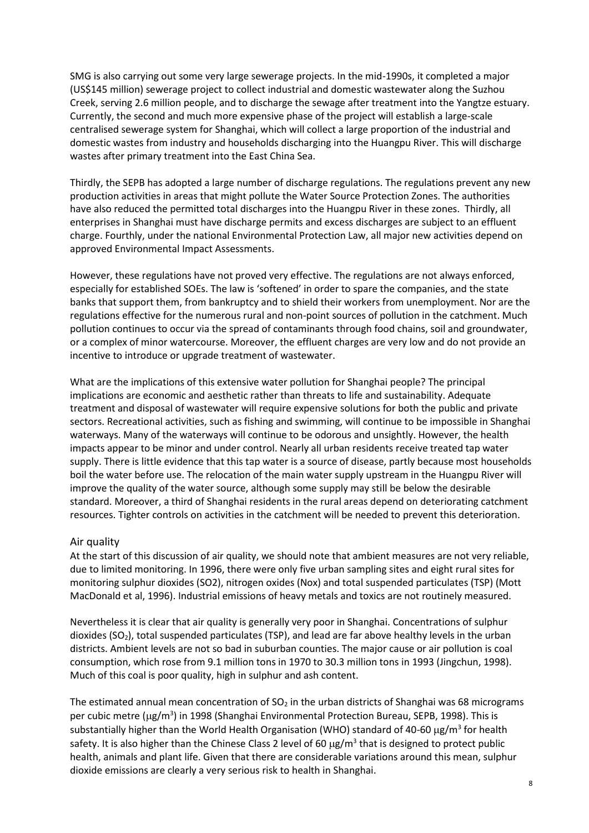SMG is also carrying out some very large sewerage projects. In the mid-1990s, it completed a major (US\$145 million) sewerage project to collect industrial and domestic wastewater along the Suzhou Creek, serving 2.6 million people, and to discharge the sewage after treatment into the Yangtze estuary. Currently, the second and much more expensive phase of the project will establish a large-scale centralised sewerage system for Shanghai, which will collect a large proportion of the industrial and domestic wastes from industry and households discharging into the Huangpu River. This will discharge wastes after primary treatment into the East China Sea.

Thirdly, the SEPB has adopted a large number of discharge regulations. The regulations prevent any new production activities in areas that might pollute the Water Source Protection Zones. The authorities have also reduced the permitted total discharges into the Huangpu River in these zones. Thirdly, all enterprises in Shanghai must have discharge permits and excess discharges are subject to an effluent charge. Fourthly, under the national Environmental Protection Law, all major new activities depend on approved Environmental Impact Assessments.

However, these regulations have not proved very effective. The regulations are not always enforced, especially for established SOEs. The law is 'softened' in order to spare the companies, and the state banks that support them, from bankruptcy and to shield their workers from unemployment. Nor are the regulations effective for the numerous rural and non-point sources of pollution in the catchment. Much pollution continues to occur via the spread of contaminants through food chains, soil and groundwater, or a complex of minor watercourse. Moreover, the effluent charges are very low and do not provide an incentive to introduce or upgrade treatment of wastewater.

What are the implications of this extensive water pollution for Shanghai people? The principal implications are economic and aesthetic rather than threats to life and sustainability. Adequate treatment and disposal of wastewater will require expensive solutions for both the public and private sectors. Recreational activities, such as fishing and swimming, will continue to be impossible in Shanghai waterways. Many of the waterways will continue to be odorous and unsightly. However, the health impacts appear to be minor and under control. Nearly all urban residents receive treated tap water supply. There is little evidence that this tap water is a source of disease, partly because most households boil the water before use. The relocation of the main water supply upstream in the Huangpu River will improve the quality of the water source, although some supply may still be below the desirable standard. Moreover, a third of Shanghai residents in the rural areas depend on deteriorating catchment resources. Tighter controls on activities in the catchment will be needed to prevent this deterioration.

#### Air quality

At the start of this discussion of air quality, we should note that ambient measures are not very reliable, due to limited monitoring. In 1996, there were only five urban sampling sites and eight rural sites for monitoring sulphur dioxides (SO2), nitrogen oxides (Nox) and total suspended particulates (TSP) (Mott MacDonald et al, 1996). Industrial emissions of heavy metals and toxics are not routinely measured.

Nevertheless it is clear that air quality is generally very poor in Shanghai. Concentrations of sulphur dioxides ( $SO<sub>2</sub>$ ), total suspended particulates (TSP), and lead are far above healthy levels in the urban districts. Ambient levels are not so bad in suburban counties. The major cause or air pollution is coal consumption, which rose from 9.1 million tons in 1970 to 30.3 million tons in 1993 (Jingchun, 1998). Much of this coal is poor quality, high in sulphur and ash content.

The estimated annual mean concentration of  $SO<sub>2</sub>$  in the urban districts of Shanghai was 68 micrograms per cubic metre (µg/m<sup>3</sup>) in 1998 (Shanghai Environmental Protection Bureau, SEPB, 1998). This is substantially higher than the World Health Organisation (WHO) standard of 40-60  $\mu$ g/m<sup>3</sup> for health safety. It is also higher than the Chinese Class 2 level of 60  $\mu$ g/m<sup>3</sup> that is designed to protect public health, animals and plant life. Given that there are considerable variations around this mean, sulphur dioxide emissions are clearly a very serious risk to health in Shanghai.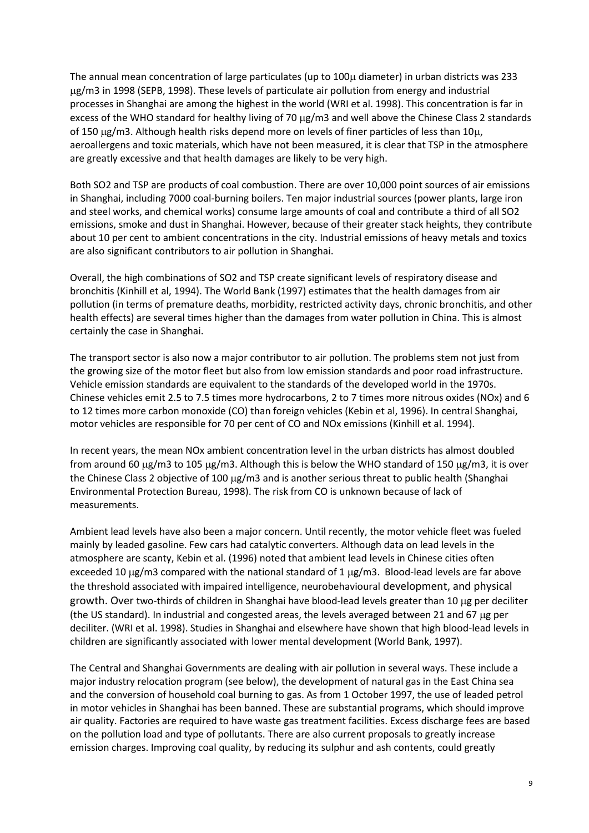The annual mean concentration of large particulates (up to  $100\mu$  diameter) in urban districts was 233 g/m3 in 1998 (SEPB, 1998). These levels of particulate air pollution from energy and industrial processes in Shanghai are among the highest in the world (WRI et al. 1998). This concentration is far in excess of the WHO standard for healthy living of 70 µg/m3 and well above the Chinese Class 2 standards of 150  $\mu$ g/m3. Although health risks depend more on levels of finer particles of less than 10 $\mu$ , aeroallergens and toxic materials, which have not been measured, it is clear that TSP in the atmosphere are greatly excessive and that health damages are likely to be very high.

Both SO2 and TSP are products of coal combustion. There are over 10,000 point sources of air emissions in Shanghai, including 7000 coal-burning boilers. Ten major industrial sources (power plants, large iron and steel works, and chemical works) consume large amounts of coal and contribute a third of all SO2 emissions, smoke and dust in Shanghai. However, because of their greater stack heights, they contribute about 10 per cent to ambient concentrations in the city. Industrial emissions of heavy metals and toxics are also significant contributors to air pollution in Shanghai.

Overall, the high combinations of SO2 and TSP create significant levels of respiratory disease and bronchitis (Kinhill et al, 1994). The World Bank (1997) estimates that the health damages from air pollution (in terms of premature deaths, morbidity, restricted activity days, chronic bronchitis, and other health effects) are several times higher than the damages from water pollution in China. This is almost certainly the case in Shanghai.

The transport sector is also now a major contributor to air pollution. The problems stem not just from the growing size of the motor fleet but also from low emission standards and poor road infrastructure. Vehicle emission standards are equivalent to the standards of the developed world in the 1970s. Chinese vehicles emit 2.5 to 7.5 times more hydrocarbons, 2 to 7 times more nitrous oxides (NOx) and 6 to 12 times more carbon monoxide (CO) than foreign vehicles (Kebin et al, 1996). In central Shanghai, motor vehicles are responsible for 70 per cent of CO and NOx emissions (Kinhill et al. 1994).

In recent years, the mean NOx ambient concentration level in the urban districts has almost doubled from around 60  $\mu$ g/m3 to 105  $\mu$ g/m3. Although this is below the WHO standard of 150  $\mu$ g/m3, it is over the Chinese Class 2 objective of 100 µg/m3 and is another serious threat to public health (Shanghai Environmental Protection Bureau, 1998). The risk from CO is unknown because of lack of measurements.

Ambient lead levels have also been a major concern. Until recently, the motor vehicle fleet was fueled mainly by leaded gasoline. Few cars had catalytic converters. Although data on lead levels in the atmosphere are scanty, Kebin et al. (1996) noted that ambient lead levels in Chinese cities often exceeded 10  $\mu$ g/m3 compared with the national standard of 1  $\mu$ g/m3. Blood-lead levels are far above the threshold associated with impaired intelligence, neurobehavioural development, and physical growth. Over two-thirds of children in Shanghai have blood-lead levels greater than 10 µg per deciliter (the US standard). In industrial and congested areas, the levels averaged between 21 and 67  $\mu$ g per deciliter. (WRI et al. 1998). Studies in Shanghai and elsewhere have shown that high blood-lead levels in children are significantly associated with lower mental development (World Bank, 1997).

The Central and Shanghai Governments are dealing with air pollution in several ways. These include a major industry relocation program (see below), the development of natural gas in the East China sea and the conversion of household coal burning to gas. As from 1 October 1997, the use of leaded petrol in motor vehicles in Shanghai has been banned. These are substantial programs, which should improve air quality. Factories are required to have waste gas treatment facilities. Excess discharge fees are based on the pollution load and type of pollutants. There are also current proposals to greatly increase emission charges. Improving coal quality, by reducing its sulphur and ash contents, could greatly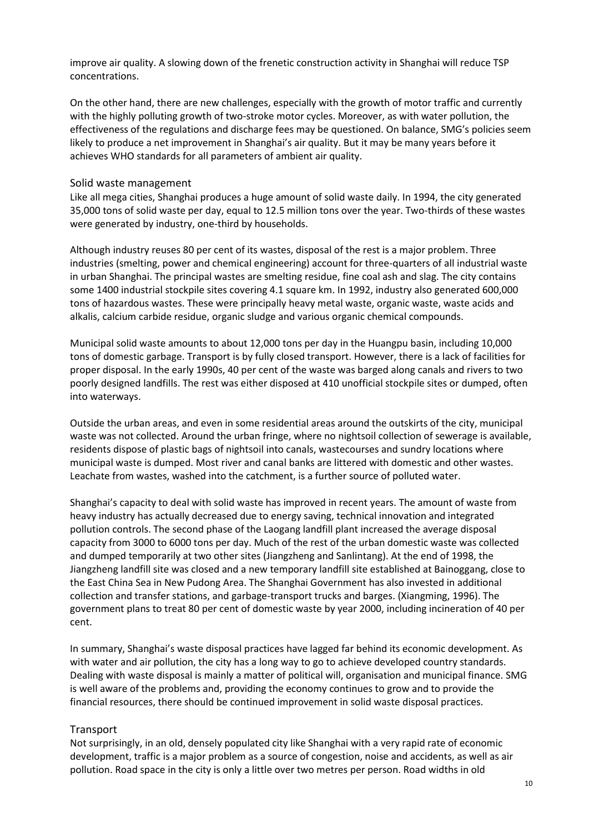improve air quality. A slowing down of the frenetic construction activity in Shanghai will reduce TSP concentrations.

On the other hand, there are new challenges, especially with the growth of motor traffic and currently with the highly polluting growth of two-stroke motor cycles. Moreover, as with water pollution, the effectiveness of the regulations and discharge fees may be questioned. On balance, SMG's policies seem likely to produce a net improvement in Shanghai's air quality. But it may be many years before it achieves WHO standards for all parameters of ambient air quality.

#### Solid waste management

Like all mega cities, Shanghai produces a huge amount of solid waste daily. In 1994, the city generated 35,000 tons of solid waste per day, equal to 12.5 million tons over the year. Two-thirds of these wastes were generated by industry, one-third by households.

Although industry reuses 80 per cent of its wastes, disposal of the rest is a major problem. Three industries (smelting, power and chemical engineering) account for three-quarters of all industrial waste in urban Shanghai. The principal wastes are smelting residue, fine coal ash and slag. The city contains some 1400 industrial stockpile sites covering 4.1 square km. In 1992, industry also generated 600,000 tons of hazardous wastes. These were principally heavy metal waste, organic waste, waste acids and alkalis, calcium carbide residue, organic sludge and various organic chemical compounds.

Municipal solid waste amounts to about 12,000 tons per day in the Huangpu basin, including 10,000 tons of domestic garbage. Transport is by fully closed transport. However, there is a lack of facilities for proper disposal. In the early 1990s, 40 per cent of the waste was barged along canals and rivers to two poorly designed landfills. The rest was either disposed at 410 unofficial stockpile sites or dumped, often into waterways.

Outside the urban areas, and even in some residential areas around the outskirts of the city, municipal waste was not collected. Around the urban fringe, where no nightsoil collection of sewerage is available, residents dispose of plastic bags of nightsoil into canals, wastecourses and sundry locations where municipal waste is dumped. Most river and canal banks are littered with domestic and other wastes. Leachate from wastes, washed into the catchment, is a further source of polluted water.

Shanghai's capacity to deal with solid waste has improved in recent years. The amount of waste from heavy industry has actually decreased due to energy saving, technical innovation and integrated pollution controls. The second phase of the Laogang landfill plant increased the average disposal capacity from 3000 to 6000 tons per day. Much of the rest of the urban domestic waste was collected and dumped temporarily at two other sites (Jiangzheng and Sanlintang). At the end of 1998, the Jiangzheng landfill site was closed and a new temporary landfill site established at Bainoggang, close to the East China Sea in New Pudong Area. The Shanghai Government has also invested in additional collection and transfer stations, and garbage-transport trucks and barges. (Xiangming, 1996). The government plans to treat 80 per cent of domestic waste by year 2000, including incineration of 40 per cent.

In summary, Shanghai's waste disposal practices have lagged far behind its economic development. As with water and air pollution, the city has a long way to go to achieve developed country standards. Dealing with waste disposal is mainly a matter of political will, organisation and municipal finance. SMG is well aware of the problems and, providing the economy continues to grow and to provide the financial resources, there should be continued improvement in solid waste disposal practices.

#### **Transport**

Not surprisingly, in an old, densely populated city like Shanghai with a very rapid rate of economic development, traffic is a major problem as a source of congestion, noise and accidents, as well as air pollution. Road space in the city is only a little over two metres per person. Road widths in old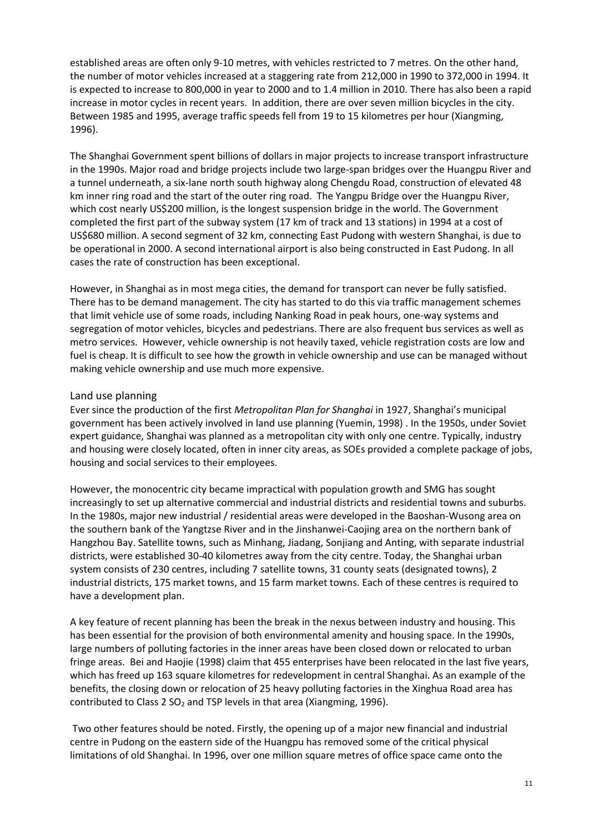established areas are often only 9-10 metres, with vehicles restricted to 7 metres. On the other hand, the number of motor vehicles increased at a staggering rate from 212,000 in 1990 to 372,000 in 1994. It is expected to increase to 800,000 in year to 2000 and to 1.4 million in 2010. There has also been a rapid increase in motor cycles in recent years. In addition, there are over seven million bicycles in the city. Between 1985 and 1995, average traffic speeds fell from 19 to 15 kilometres per hour (Xiangming, 1996).

The Shanghai Government spent billions of dollars in major projects to increase transport infrastructure in the 1990s. Major road and bridge projects include two large-span bridges over the Huangpu River and a tunnel underneath, a six-lane north south highway along Chengdu Road, construction of elevated 48 km inner ring road and the start of the outer ring road. The Yangpu Bridge over the Huangpu River, which cost nearly US\$200 million, is the longest suspension bridge in the world. The Government completed the first part of the subway system (17 km of track and 13 stations) in 1994 at a cost of US\$680 million. A second segment of 32 km, connecting East Pudong with western Shanghai, is due to be operational in 2000. A second international airport is also being constructed in East Pudong. In all cases the rate of construction has been exceptional.

However, in Shanghai as in most mega cities, the demand for transport can never be fully satisfied. There has to be demand management. The city has started to do this via traffic management schemes that limit vehicle use of some roads, including Nanking Road in peak hours, one-way systems and segregation of motor vehicles, bicycles and pedestrians. There are also frequent bus services as well as metro services. However, vehicle ownership is not heavily taxed, vehicle registration costs are low and fuel is cheap. It is difficult to see how the growth in vehicle ownership and use can be managed without making vehicle ownership and use much more expensive.

#### Land use planning

Ever since the production of the first *Metropolitan Plan for Shanghai* in 1927, Shanghai's municipal government has been actively involved in land use planning (Yuemin, 1998) . In the 1950s, under Soviet expert guidance, Shanghai was planned as a metropolitan city with only one centre. Typically, industry and housing were closely located, often in inner city areas, as SOEs provided a complete package of jobs, housing and social services to their employees.

However, the monocentric city became impractical with population growth and SMG has sought increasingly to set up alternative commercial and industrial districts and residential towns and suburbs. In the 1980s, major new industrial / residential areas were developed in the Baoshan-Wusong area on the southern bank of the Yangtzse River and in the Jinshanwei-Caojing area on the northern bank of Hangzhou Bay. Satellite towns, such as Minhang, Jiadang, Sonjiang and Anting, with separate industrial districts, were established 30-40 kilometres away from the city centre. Today, the Shanghai urban system consists of 230 centres, including 7 satellite towns, 31 county seats (designated towns), 2 industrial districts, 175 market towns, and 15 farm market towns. Each of these centres is required to have a development plan.

A key feature of recent planning has been the break in the nexus between industry and housing. This has been essential for the provision of both environmental amenity and housing space. In the 1990s, large numbers of polluting factories in the inner areas have been closed down or relocated to urban fringe areas. Bei and Haojie (1998) claim that 455 enterprises have been relocated in the last five years, which has freed up 163 square kilometres for redevelopment in central Shanghai. As an example of the benefits, the closing down or relocation of 25 heavy polluting factories in the Xinghua Road area has contributed to Class 2  $SO<sub>2</sub>$  and TSP levels in that area (Xiangming, 1996).

Two other features should be noted. Firstly, the opening up of a major new financial and industrial centre in Pudong on the eastern side of the Huangpu has removed some of the critical physical limitations of old Shanghai. In 1996, over one million square metres of office space came onto the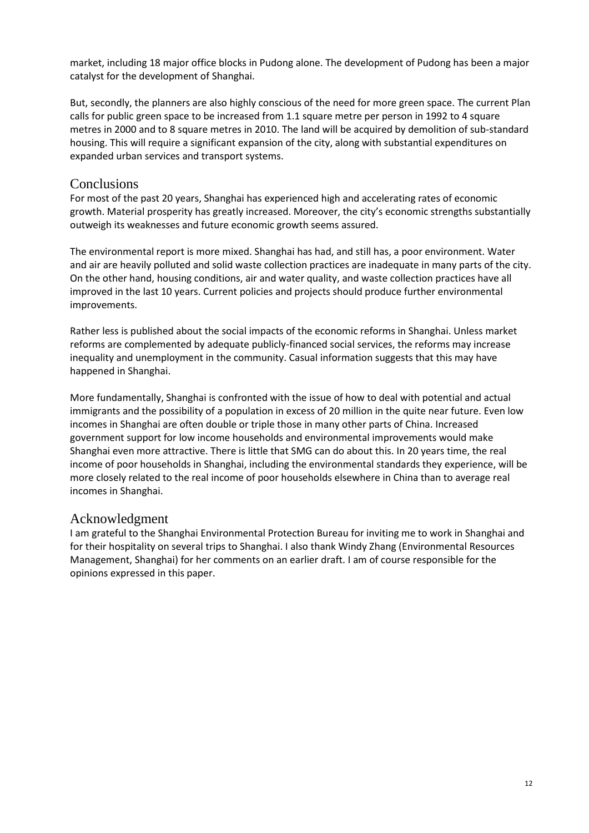market, including 18 major office blocks in Pudong alone. The development of Pudong has been a major catalyst for the development of Shanghai.

But, secondly, the planners are also highly conscious of the need for more green space. The current Plan calls for public green space to be increased from 1.1 square metre per person in 1992 to 4 square metres in 2000 and to 8 square metres in 2010. The land will be acquired by demolition of sub-standard housing. This will require a significant expansion of the city, along with substantial expenditures on expanded urban services and transport systems.

# **Conclusions**

For most of the past 20 years, Shanghai has experienced high and accelerating rates of economic growth. Material prosperity has greatly increased. Moreover, the city's economic strengths substantially outweigh its weaknesses and future economic growth seems assured.

The environmental report is more mixed. Shanghai has had, and still has, a poor environment. Water and air are heavily polluted and solid waste collection practices are inadequate in many parts of the city. On the other hand, housing conditions, air and water quality, and waste collection practices have all improved in the last 10 years. Current policies and projects should produce further environmental improvements.

Rather less is published about the social impacts of the economic reforms in Shanghai. Unless market reforms are complemented by adequate publicly-financed social services, the reforms may increase inequality and unemployment in the community. Casual information suggests that this may have happened in Shanghai.

More fundamentally, Shanghai is confronted with the issue of how to deal with potential and actual immigrants and the possibility of a population in excess of 20 million in the quite near future. Even low incomes in Shanghai are often double or triple those in many other parts of China. Increased government support for low income households and environmental improvements would make Shanghai even more attractive. There is little that SMG can do about this. In 20 years time, the real income of poor households in Shanghai, including the environmental standards they experience, will be more closely related to the real income of poor households elsewhere in China than to average real incomes in Shanghai.

# Acknowledgment

I am grateful to the Shanghai Environmental Protection Bureau for inviting me to work in Shanghai and for their hospitality on several trips to Shanghai. I also thank Windy Zhang (Environmental Resources Management, Shanghai) for her comments on an earlier draft. I am of course responsible for the opinions expressed in this paper.